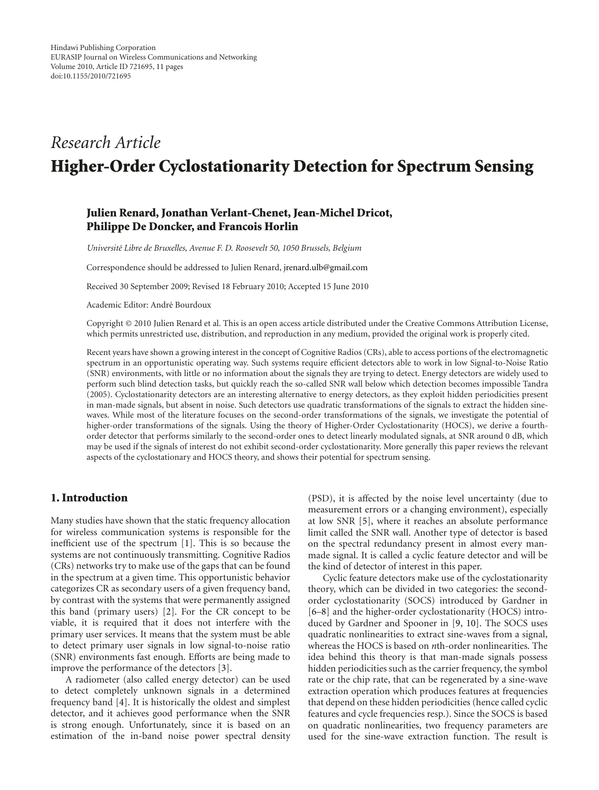# *Research Article* **Higher-Order Cyclostationarity Detection for Spectrum Sensing**

# **Julien Renard, Jonathan Verlant-Chenet, Jean-Michel Dricot, Philippe De Doncker, and Francois Horlin**

*Universit´e Libre de Bruxelles, Avenue F. D. Roosevelt 50, 1050 Brussels, Belgium*

Correspondence should be addressed to Julien Renard, jrenard.ulb@gmail.com

Received 30 September 2009; Revised 18 February 2010; Accepted 15 June 2010

Academic Editor: Andre Bourdoux ´

Copyright © 2010 Julien Renard et al. This is an open access article distributed under the Creative Commons Attribution License, which permits unrestricted use, distribution, and reproduction in any medium, provided the original work is properly cited.

Recent years have shown a growing interest in the concept of Cognitive Radios (CRs), able to access portions of the electromagnetic spectrum in an opportunistic operating way. Such systems require efficient detectors able to work in low Signal-to-Noise Ratio (SNR) environments, with little or no information about the signals they are trying to detect. Energy detectors are widely used to perform such blind detection tasks, but quickly reach the so-called SNR wall below which detection becomes impossible Tandra (2005). Cyclostationarity detectors are an interesting alternative to energy detectors, as they exploit hidden periodicities present in man-made signals, but absent in noise. Such detectors use quadratic transformations of the signals to extract the hidden sinewaves. While most of the literature focuses on the second-order transformations of the signals, we investigate the potential of higher-order transformations of the signals. Using the theory of Higher-Order Cyclostationarity (HOCS), we derive a fourthorder detector that performs similarly to the second-order ones to detect linearly modulated signals, at SNR around 0 dB, which may be used if the signals of interest do not exhibit second-order cyclostationarity. More generally this paper reviews the relevant aspects of the cyclostationary and HOCS theory, and shows their potential for spectrum sensing.

#### **1. Introduction**

Many studies have shown that the static frequency allocation for wireless communication systems is responsible for the inefficient use of the spectrum [1]. This is so because the systems are not continuously transmitting. Cognitive Radios (CRs) networks try to make use of the gaps that can be found in the spectrum at a given time. This opportunistic behavior categorizes CR as secondary users of a given frequency band, by contrast with the systems that were permanently assigned this band (primary users) [2]. For the CR concept to be viable, it is required that it does not interfere with the primary user services. It means that the system must be able to detect primary user signals in low signal-to-noise ratio (SNR) environments fast enough. Efforts are being made to improve the performance of the detectors [3].

A radiometer (also called energy detector) can be used to detect completely unknown signals in a determined frequency band [4]. It is historically the oldest and simplest detector, and it achieves good performance when the SNR is strong enough. Unfortunately, since it is based on an estimation of the in-band noise power spectral density

(PSD), it is affected by the noise level uncertainty (due to measurement errors or a changing environment), especially at low SNR [5], where it reaches an absolute performance limit called the SNR wall. Another type of detector is based on the spectral redundancy present in almost every manmade signal. It is called a cyclic feature detector and will be the kind of detector of interest in this paper.

Cyclic feature detectors make use of the cyclostationarity theory, which can be divided in two categories: the secondorder cyclostationarity (SOCS) introduced by Gardner in [6–8] and the higher-order cyclostationarity (HOCS) introduced by Gardner and Spooner in [9, 10]. The SOCS uses quadratic nonlinearities to extract sine-waves from a signal, whereas the HOCS is based on *n*th-order nonlinearities. The idea behind this theory is that man-made signals possess hidden periodicities such as the carrier frequency, the symbol rate or the chip rate, that can be regenerated by a sine-wave extraction operation which produces features at frequencies that depend on these hidden periodicities (hence called cyclic features and cycle frequencies resp.). Since the SOCS is based on quadratic nonlinearities, two frequency parameters are used for the sine-wave extraction function. The result is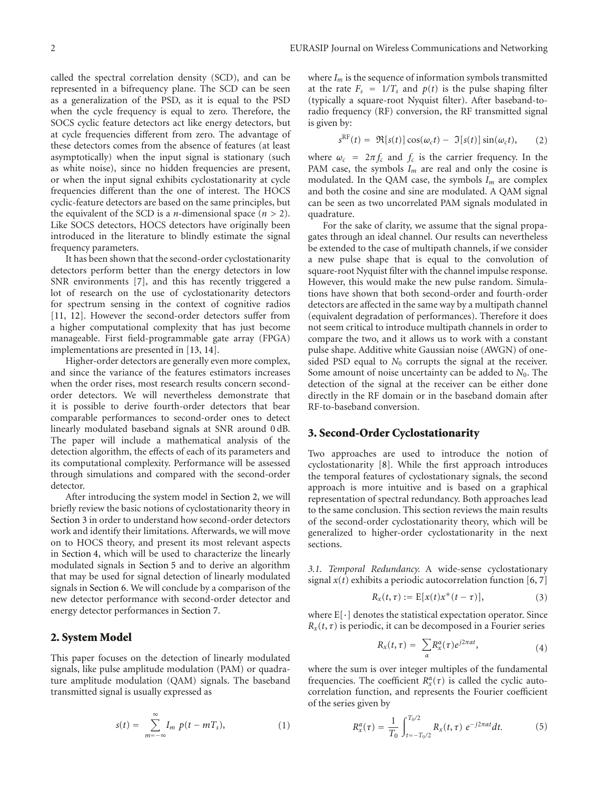called the spectral correlation density (SCD), and can be represented in a bifrequency plane. The SCD can be seen as a generalization of the PSD, as it is equal to the PSD when the cycle frequency is equal to zero. Therefore, the SOCS cyclic feature detectors act like energy detectors, but at cycle frequencies different from zero. The advantage of these detectors comes from the absence of features (at least asymptotically) when the input signal is stationary (such as white noise), since no hidden frequencies are present, or when the input signal exhibits cyclostationarity at cycle frequencies different than the one of interest. The HOCS cyclic-feature detectors are based on the same principles, but the equivalent of the SCD is a *n*-dimensional space (*n >* 2). Like SOCS detectors, HOCS detectors have originally been introduced in the literature to blindly estimate the signal frequency parameters.

It has been shown that the second-order cyclostationarity detectors perform better than the energy detectors in low SNR environments [7], and this has recently triggered a lot of research on the use of cyclostationarity detectors for spectrum sensing in the context of cognitive radios [11, 12]. However the second-order detectors suffer from a higher computational complexity that has just become manageable. First field-programmable gate array (FPGA) implementations are presented in [13, 14].

Higher-order detectors are generally even more complex, and since the variance of the features estimators increases when the order rises, most research results concern secondorder detectors. We will nevertheless demonstrate that it is possible to derive fourth-order detectors that bear comparable performances to second-order ones to detect linearly modulated baseband signals at SNR around 0 dB. The paper will include a mathematical analysis of the detection algorithm, the effects of each of its parameters and its computational complexity. Performance will be assessed through simulations and compared with the second-order detector.

After introducing the system model in Section 2, we will briefly review the basic notions of cyclostationarity theory in Section 3 in order to understand how second-order detectors work and identify their limitations. Afterwards, we will move on to HOCS theory, and present its most relevant aspects in Section 4, which will be used to characterize the linearly modulated signals in Section 5 and to derive an algorithm that may be used for signal detection of linearly modulated signals in Section 6. We will conclude by a comparison of the new detector performance with second-order detector and energy detector performances in Section 7.

## **2. System Model**

This paper focuses on the detection of linearly modulated signals, like pulse amplitude modulation (PAM) or quadrature amplitude modulation (QAM) signals. The baseband transmitted signal is usually expressed as

$$
s(t) = \sum_{m=-\infty}^{\infty} I_m \ p(t - mT_s), \tag{1}
$$

where  $I_m$  is the sequence of information symbols transmitted at the rate  $F_s = 1/T_s$  and  $p(t)$  is the pulse shaping filter (typically a square-root Nyquist filter). After baseband-toradio frequency (RF) conversion, the RF transmitted signal is given by:

$$
s^{\text{RF}}(t) = \Re[s(t)] \cos(\omega_c t) - \Im[s(t)] \sin(\omega_c t), \qquad (2)
$$

where  $\omega_c = 2\pi f_c$  and  $f_c$  is the carrier frequency. In the PAM case, the symbols *Im* are real and only the cosine is modulated. In the QAM case, the symbols *Im* are complex and both the cosine and sine are modulated. A QAM signal can be seen as two uncorrelated PAM signals modulated in quadrature.

For the sake of clarity, we assume that the signal propagates through an ideal channel. Our results can nevertheless be extended to the case of multipath channels, if we consider a new pulse shape that is equal to the convolution of square-root Nyquist filter with the channel impulse response. However, this would make the new pulse random. Simulations have shown that both second-order and fourth-order detectors are affected in the same way by a multipath channel (equivalent degradation of performances). Therefore it does not seem critical to introduce multipath channels in order to compare the two, and it allows us to work with a constant pulse shape. Additive white Gaussian noise (AWGN) of onesided PSD equal to  $N_0$  corrupts the signal at the receiver. Some amount of noise uncertainty can be added to  $N_0$ . The detection of the signal at the receiver can be either done directly in the RF domain or in the baseband domain after RF-to-baseband conversion.

# **3. Second-Order Cyclostationarity**

Two approaches are used to introduce the notion of cyclostationarity [8]. While the first approach introduces the temporal features of cyclostationary signals, the second approach is more intuitive and is based on a graphical representation of spectral redundancy. Both approaches lead to the same conclusion. This section reviews the main results of the second-order cyclostationarity theory, which will be generalized to higher-order cyclostationarity in the next sections.

*3.1. Temporal Redundancy.* A wide-sense cyclostationary signal  $x(t)$  exhibits a periodic autocorrelation function [6, 7]

$$
R_x(t,\tau) := \mathbb{E}[x(t)x^*(t-\tau)],\tag{3}
$$

where  $E[\cdot]$  denotes the statistical expectation operator. Since  $R_x(t, \tau)$  is periodic, it can be decomposed in a Fourier series

$$
R_x(t,\tau) = \sum_{\alpha} R_x^{\alpha}(\tau) e^{j2\pi\alpha t}, \qquad (4)
$$

where the sum is over integer multiples of the fundamental frequencies. The coefficient  $R_x^{\alpha}(\tau)$  is called the cyclic autocorrelation function, and represents the Fourier coefficient of the series given by

$$
R_{x}^{\alpha}(\tau) = \frac{1}{T_0} \int_{t=-T_0/2}^{T_0/2} R_{x}(t, \tau) e^{-j2\pi\alpha t} dt.
$$
 (5)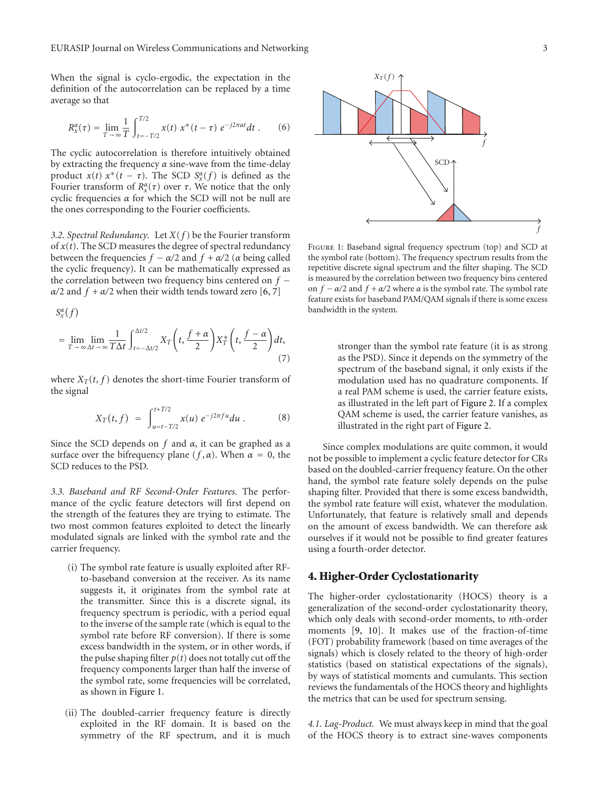When the signal is cyclo-ergodic, the expectation in the definition of the autocorrelation can be replaced by a time average so that

$$
R_{x}^{\alpha}(\tau) = \lim_{T \to \infty} \frac{1}{T} \int_{t=-T/2}^{T/2} x(t) \; x^{*}(t-\tau) \; e^{-j2\pi\alpha t} dt \; . \tag{6}
$$

The cyclic autocorrelation is therefore intuitively obtained by extracting the frequency *α* sine-wave from the time-delay product  $x(t)$   $x^*(t - \tau)$ . The SCD  $S_x^{\alpha}(f)$  is defined as the Fourier transform of  $R_x^{\alpha}(\tau)$  over  $\tau$ . We notice that the only cyclic frequencies *α* for which the SCD will not be null are the ones corresponding to the Fourier coefficients.

*3.2. Spectral Redundancy.* Let  $X(f)$  be the Fourier transform of  $x(t)$ . The SCD measures the degree of spectral redundancy between the frequencies  $f - \alpha/2$  and  $f + \alpha/2$  ( $\alpha$  being called the cyclic frequency). It can be mathematically expressed as the correlation between two frequency bins centered on *f* −  $\alpha/2$  and  $f + \alpha/2$  when their width tends toward zero [6, 7]

$$
S_{x}^{\alpha}(f)
$$
\n
$$
= \lim_{T \to \infty} \lim_{\Delta t \to \infty} \frac{1}{T \Delta t} \int_{t = -\Delta t/2}^{\Delta t/2} X_{T} \left( t, \frac{f + \alpha}{2} \right) X_{T}^{*} \left( t, \frac{f - \alpha}{2} \right) dt,
$$
\n(7)

where  $X_T(t, f)$  denotes the short-time Fourier transform of the signal

$$
X_T(t,f) = \int_{u=t-T/2}^{t+T/2} x(u) e^{-j2\pi fu} du.
$$
 (8)

Since the SCD depends on *f* and *α*, it can be graphed as a surface over the bifrequency plane ( $f, \alpha$ ). When  $\alpha = 0$ , the SCD reduces to the PSD.

*3.3. Baseband and RF Second-Order Features.* The performance of the cyclic feature detectors will first depend on the strength of the features they are trying to estimate. The two most common features exploited to detect the linearly modulated signals are linked with the symbol rate and the carrier frequency.

- (i) The symbol rate feature is usually exploited after RFto-baseband conversion at the receiver. As its name suggests it, it originates from the symbol rate at the transmitter. Since this is a discrete signal, its frequency spectrum is periodic, with a period equal to the inverse of the sample rate (which is equal to the symbol rate before RF conversion). If there is some excess bandwidth in the system, or in other words, if the pulse shaping filter  $p(t)$  does not totally cut off the frequency components larger than half the inverse of the symbol rate, some frequencies will be correlated, as shown in Figure 1.
- (ii) The doubled-carrier frequency feature is directly exploited in the RF domain. It is based on the symmetry of the RF spectrum, and it is much



FIGURE 1: Baseband signal frequency spectrum (top) and SCD at the symbol rate (bottom). The frequency spectrum results from the repetitive discrete signal spectrum and the filter shaping. The SCD is measured by the correlation between two frequency bins centered on *f* − *α/*2 and *f* + *α/*2 where *α* is the symbol rate. The symbol rate feature exists for baseband PAM/QAM signals if there is some excess bandwidth in the system.

stronger than the symbol rate feature (it is as strong as the PSD). Since it depends on the symmetry of the spectrum of the baseband signal, it only exists if the modulation used has no quadrature components. If a real PAM scheme is used, the carrier feature exists, as illustrated in the left part of Figure 2. If a complex QAM scheme is used, the carrier feature vanishes, as illustrated in the right part of Figure 2.

Since complex modulations are quite common, it would not be possible to implement a cyclic feature detector for CRs based on the doubled-carrier frequency feature. On the other hand, the symbol rate feature solely depends on the pulse shaping filter. Provided that there is some excess bandwidth, the symbol rate feature will exist, whatever the modulation. Unfortunately, that feature is relatively small and depends on the amount of excess bandwidth. We can therefore ask ourselves if it would not be possible to find greater features using a fourth-order detector.

## **4. Higher-Order Cyclostationarity**

The higher-order cyclostationarity (HOCS) theory is a generalization of the second-order cyclostationarity theory, which only deals with second-order moments, to *n*th-order moments [9, 10]. It makes use of the fraction-of-time (FOT) probability framework (based on time averages of the signals) which is closely related to the theory of high-order statistics (based on statistical expectations of the signals), by ways of statistical moments and cumulants. This section reviews the fundamentals of the HOCS theory and highlights the metrics that can be used for spectrum sensing.

*4.1. Lag-Product.* We must always keep in mind that the goal of the HOCS theory is to extract sine-waves components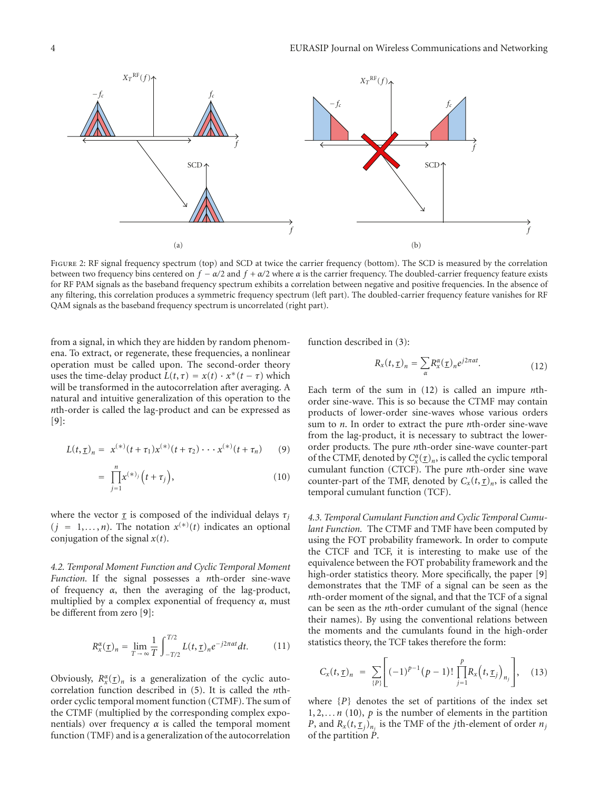FIGURE 2: RF signal frequency spectrum (top) and SCD at twice the carrier frequency (bottom). The SCD is measured by the correlation between two frequency bins centered on  $f - \alpha/2$  and  $f + \alpha/2$  where  $\alpha$  is the carrier frequency. The doubled-carrier frequency feature exists for RF PAM signals as the baseband frequency spectrum exhibits a correlation between negative and positive frequencies. In the absence of any filtering, this correlation produces a symmetric frequency spectrum (left part). The doubled-carrier frequency feature vanishes for RF QAM signals as the baseband frequency spectrum is uncorrelated (right part).

from a signal, in which they are hidden by random phenomena. To extract, or regenerate, these frequencies, a nonlinear operation must be called upon. The second-order theory uses the time-delay product  $L(t, \tau) = x(t) \cdot x^*(t - \tau)$  which will be transformed in the autocorrelation after averaging. A natural and intuitive generalization of this operation to the *n*th-order is called the lag-product and can be expressed as [9]:

$$
L(t, \underline{\tau})_n = x^{(*)}(t + \tau_1)x^{(*)}(t + \tau_2) \cdots x^{(*)}(t + \tau_n)
$$
 (9)

$$
= \prod_{j=1}^{n} x^{(*)_j} \Big( t + \tau_j \Big), \tag{10}
$$

where the vector  $\underline{\tau}$  is composed of the individual delays  $\tau_j$  $(j = 1, \ldots, n)$ . The notation  $x^{(*)}(t)$  indicates an optional conjugation of the signal *x*(*t*).

*4.2. Temporal Moment Function and Cyclic Temporal Moment Function.* If the signal possesses a *n*th-order sine-wave of frequency *α*, then the averaging of the lag-product, multiplied by a complex exponential of frequency *α*, must be different from zero [9]:

$$
R_{x}^{\alpha}(\underline{\tau})_{n} = \lim_{T \to \infty} \frac{1}{T} \int_{-T/2}^{T/2} L(t, \underline{\tau})_{n} e^{-j2\pi\alpha t} dt.
$$
 (11)

Obviously,  $R_x^{\alpha}(\underline{\tau})_n$  is a generalization of the cyclic autocorrelation function described in (5). It is called the *n*thorder cyclic temporal moment function (CTMF). The sum of the CTMF (multiplied by the corresponding complex exponentials) over frequency  $\alpha$  is called the temporal moment function (TMF) and is a generalization of the autocorrelation

function described in (3):

$$
R_x(t, \underline{\tau})_n = \sum_{\alpha} R_x^{\alpha}(\underline{\tau})_n e^{j2\pi\alpha t}.
$$
 (12)

Each term of the sum in (12) is called an impure *n*thorder sine-wave. This is so because the CTMF may contain products of lower-order sine-waves whose various orders sum to *n*. In order to extract the pure *n*th-order sine-wave from the lag-product, it is necessary to subtract the lowerorder products. The pure *n*th-order sine-wave counter-part of the CTMF, denoted by  $C_x^{\alpha}(\underline{\tau})_n$ , is called the cyclic temporal cumulant function (CTCF). The pure *n*th-order sine wave counter-part of the TMF, denoted by  $C_x(t, \tau)_n$ , is called the temporal cumulant function (TCF).

*4.3. Temporal Cumulant Function and Cyclic Temporal Cumulant Function.* The CTMF and TMF have been computed by using the FOT probability framework. In order to compute the CTCF and TCF, it is interesting to make use of the equivalence between the FOT probability framework and the high-order statistics theory. More specifically, the paper [9] demonstrates that the TMF of a signal can be seen as the *n*th-order moment of the signal, and that the TCF of a signal can be seen as the *n*th-order cumulant of the signal (hence their names). By using the conventional relations between the moments and the cumulants found in the high-order statistics theory, the TCF takes therefore the form:

$$
C_x(t, \underline{\tau})_n = \sum_{\{P\}} \left[ (-1)^{p-1} (p-1)! \prod_{j=1}^p R_x(t, \underline{\tau}_j)_{n_j} \right], \quad (13)
$$

where  $\{P\}$  denotes the set of partitions of the index set  $1, 2, \ldots n$  (10),  $p$  is the number of elements in the partition *P*, and  $R_x(t, \underline{\tau}_i)_{n_i}$  is the TMF of the *j*th-element of order  $n_j$ of the partition *P*.

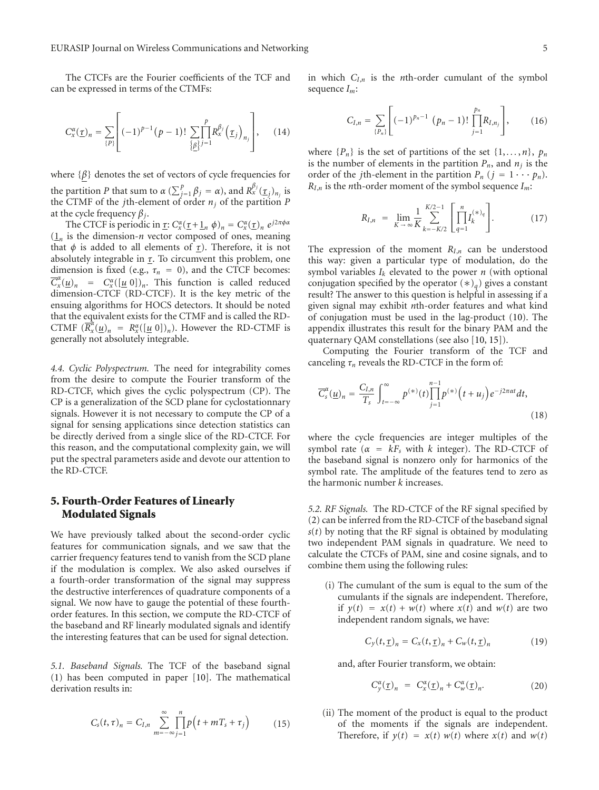The CTCFs are the Fourier coefficients of the TCF and can be expressed in terms of the CTMFs:

$$
C_{x}^{\alpha}(\underline{\tau})_{n} = \sum_{\{p\}} \left[ (-1)^{p-1} (p-1)! \sum_{\{\underline{\beta}\}^{j=1}} \prod_{j=1}^{p} R_{x}^{\beta_{j}}(\underline{\tau}_{j})_{n_{j}} \right], \quad (14)
$$

where {*β*} denotes the set of vectors of cycle frequencies for the partition *P* that sum to  $\alpha$  ( $\sum_{j=1}^{p} \beta_j = \alpha$ ), and  $R_x^{\beta_j}(\tau_j)_{n_j}$  is the CTMF of the *j*th-element of order *nj* of the partition *P* at the cycle frequency  $\beta_i$ .

The CTCF is periodic in <u>*τ*</del>:  $C_x^{\alpha}$  (*<u>τ</u>* + <u>1</u><sub>*n*</sub>  $\phi$ )<sub>*n*</sub> =  $C_x^{\alpha}$  (*<u>τ</u>*)<sub>*n*</sub>  $e^{j2\pi\phi\alpha}$ </u>  $(\underline{1}_n)$  is the dimension-*n* vector composed of ones, meaning that  $\phi$  is added to all elements of  $\tau$ ). Therefore, it is not absolutely integrable in *τ*. To circumvent this problem, one dimension is fixed (e.g.,  $\tau_n = 0$ ), and the CTCF becomes:  $\overline{C}^{\alpha}_x(\underline{u})_n = C^{\alpha}_x([\underline{u} \ 0])_n$ . This function is called reduced dimension-CTCF (RD-CTCF). It is the key metric of the ensuing algorithms for HOCS detectors. It should be noted that the equivalent exists for the CTMF and is called the RD-CTMF  $(\overline{R}_x^{\alpha}(\underline{u})_n = R_x^{\alpha}([\underline{u} \ 0])_n)$ . However the RD-CTMF is generally not absolutely integrable.

*4.4. Cyclic Polyspectrum.* The need for integrability comes from the desire to compute the Fourier transform of the RD-CTCF, which gives the cyclic polyspectrum (CP). The CP is a generalization of the SCD plane for cyclostationnary signals. However it is not necessary to compute the CP of a signal for sensing applications since detection statistics can be directly derived from a single slice of the RD-CTCF. For this reason, and the computational complexity gain, we will put the spectral parameters aside and devote our attention to the RD-CTCF.

# **5. Fourth-Order Features of Linearly Modulated Signals**

We have previously talked about the second-order cyclic features for communication signals, and we saw that the carrier frequency features tend to vanish from the SCD plane if the modulation is complex. We also asked ourselves if a fourth-order transformation of the signal may suppress the destructive interferences of quadrature components of a signal. We now have to gauge the potential of these fourthorder features. In this section, we compute the RD-CTCF of the baseband and RF linearly modulated signals and identify the interesting features that can be used for signal detection.

*5.1. Baseband Signals.* The TCF of the baseband signal (1) has been computed in paper [10]. The mathematical derivation results in:

$$
C_{s}(t,\tau)_{n} = C_{I,n} \sum_{m=-\infty}^{\infty} \prod_{j=1}^{n} p(t+mT_{s}+\tau_{j})
$$
 (15)

in which  $C_{I,n}$  is the *n*th-order cumulant of the symbol sequence *Im*:

$$
C_{I,n} = \sum_{\{P_n\}} \left[ (-1)^{p_n-1} (p_n-1)! \prod_{j=1}^{p_n} R_{I,n_j} \right], \qquad (16)
$$

where  $\{P_n\}$  is the set of partitions of the set  $\{1, \ldots, n\}$ ,  $p_n$ is the number of elements in the partition  $P_n$ , and  $n_j$  is the order of the *j*th-element in the partition  $P_n$  ( $j = 1 \cdots p_n$ ).  $R_{I,n}$  is the *n*th-order moment of the symbol sequence  $I_m$ :

$$
R_{I,n} = \lim_{K \to \infty} \frac{1}{K} \sum_{k=-K/2}^{K/2-1} \left[ \prod_{q=1}^{n} I_k^{(*)_q} \right].
$$
 (17)

The expression of the moment *RI*,*<sup>n</sup>* can be understood this way: given a particular type of modulation, do the symbol variables  $I_k$  elevated to the power  $n$  (with optional conjugation specified by the operator  $(*)$ <sub>*a*</sub>) gives a constant result? The answer to this question is helpful in assessing if a given signal may exhibit *n*th-order features and what kind of conjugation must be used in the lag-product (10). The appendix illustrates this result for the binary PAM and the quaternary QAM constellations (see also [10, 15]).

Computing the Fourier transform of the TCF and canceling  $\tau_n$  reveals the RD-CTCF in the form of:

$$
\overline{C}_s^{\alpha}(\underline{u})_n = \frac{C_{I,n}}{T_s} \int_{t=-\infty}^{\infty} p^{(*)}(t) \prod_{j=1}^{n-1} p^{(*)}(t+u_j) e^{-j2\pi\alpha t} dt,
$$
\n(18)

where the cycle frequencies are integer multiples of the symbol rate  $(\alpha = kF_s \text{ with } k \text{ integer})$ . The RD-CTCF of the baseband signal is nonzero only for harmonics of the symbol rate. The amplitude of the features tend to zero as the harmonic number *k* increases.

*5.2. RF Signals.* The RD-CTCF of the RF signal specified by (2) can be inferred from the RD-CTCF of the baseband signal *s*(*t*) by noting that the RF signal is obtained by modulating two independent PAM signals in quadrature. We need to calculate the CTCFs of PAM, sine and cosine signals, and to combine them using the following rules:

(i) The cumulant of the sum is equal to the sum of the cumulants if the signals are independent. Therefore, if  $y(t) = x(t) + w(t)$  where  $x(t)$  and  $w(t)$  are two independent random signals, we have:

$$
C_y(t, \underline{\tau})_n = C_x(t, \underline{\tau})_n + C_w(t, \underline{\tau})_n \tag{19}
$$

and, after Fourier transform, we obtain:

$$
C_{y}^{\alpha}(\underline{\tau})_{n} = C_{x}^{\alpha}(\underline{\tau})_{n} + C_{w}^{\alpha}(\underline{\tau})_{n}.
$$
 (20)

(ii) The moment of the product is equal to the product of the moments if the signals are independent. Therefore, if  $y(t) = x(t) w(t)$  where  $x(t)$  and  $w(t)$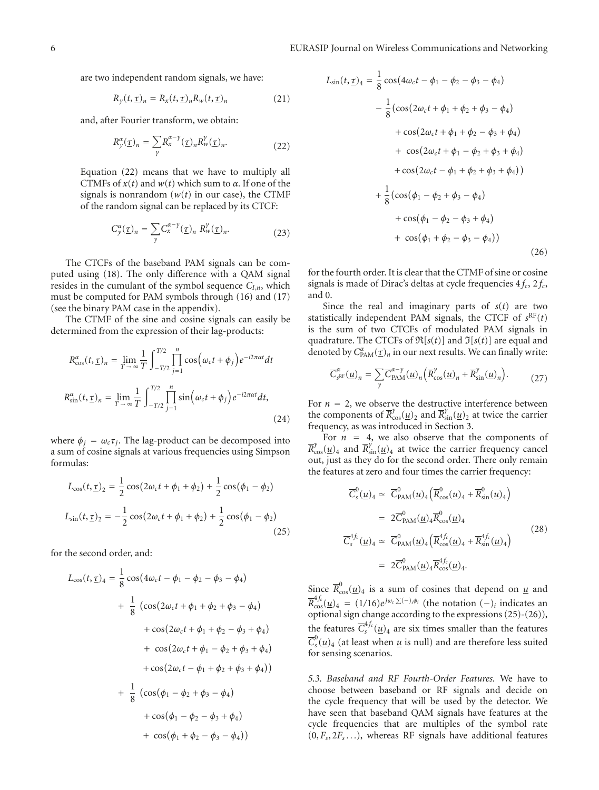are two independent random signals, we have:

$$
R_y(t, \underline{\tau})_n = R_x(t, \underline{\tau})_n R_w(t, \underline{\tau})_n \tag{21}
$$

and, after Fourier transform, we obtain:

$$
R_{\mathcal{Y}}^{\alpha}(\underline{\tau})_{n} = \sum_{\gamma} R_{x}^{\alpha - \gamma}(\underline{\tau})_{n} R_{\mathcal{W}}^{\gamma}(\underline{\tau})_{n}.
$$
 (22)

Equation (22) means that we have to multiply all CTMFs of *x*(*t*) and *w*(*t*) which sum to *α*. If one of the signals is nonrandom  $(w(t))$  in our case), the CTMF of the random signal can be replaced by its CTCF:

$$
C_{y}^{\alpha}(\underline{\tau})_{n} = \sum_{\gamma} C_{x}^{\alpha-\gamma}(\underline{\tau})_{n} R_{w}^{\gamma}(\underline{\tau})_{n}.
$$
 (23)

The CTCFs of the baseband PAM signals can be computed using (18). The only difference with a QAM signal resides in the cumulant of the symbol sequence  $C_{I,n}$ , which must be computed for PAM symbols through (16) and (17) (see the binary PAM case in the appendix).

The CTMF of the sine and cosine signals can easily be determined from the expression of their lag-products:

$$
R_{\cos}^{\alpha}(t, \underline{\tau})_n = \lim_{T \to \infty} \frac{1}{T} \int_{-T/2}^{T/2} \prod_{j=1}^n \cos(\omega_c t + \phi_j) e^{-i2\pi\alpha t} dt
$$
  

$$
R_{\sin}^{\alpha}(t, \underline{\tau})_n = \lim_{T \to \infty} \frac{1}{T} \int_{-T/2}^{T/2} \prod_{j=1}^n \sin(\omega_c t + \phi_j) e^{-i2\pi\alpha t} dt,
$$
\n(24)

where  $\phi_i = \omega_c \tau_i$ . The lag-product can be decomposed into a sum of cosine signals at various frequencies using Simpson formulas:

$$
L_{\cos}(t, \underline{\tau})_2 = \frac{1}{2}\cos(2\omega_c t + \phi_1 + \phi_2) + \frac{1}{2}\cos(\phi_1 - \phi_2)
$$
  

$$
L_{\sin}(t, \underline{\tau})_2 = -\frac{1}{2}\cos(2\omega_c t + \phi_1 + \phi_2) + \frac{1}{2}\cos(\phi_1 - \phi_2)
$$
(25)

for the second order, and:

$$
L_{\cos}(t, \underline{\tau})_4 = \frac{1}{8} \cos(4\omega_c t - \phi_1 - \phi_2 - \phi_3 - \phi_4)
$$
  
+ 
$$
\frac{1}{8} (\cos(2\omega_c t + \phi_1 + \phi_2 + \phi_3 - \phi_4)
$$
  
+ 
$$
\cos(2\omega_c t + \phi_1 + \phi_2 - \phi_3 + \phi_4)
$$
  
+ 
$$
\cos(2\omega_c t + \phi_1 - \phi_2 + \phi_3 + \phi_4)
$$
  
+ 
$$
\cos(2\omega_c t - \phi_1 + \phi_2 + \phi_3 + \phi_4))
$$
  
+ 
$$
\frac{1}{8} (\cos(\phi_1 - \phi_2 + \phi_3 - \phi_4)
$$
  
+ 
$$
\cos(\phi_1 - \phi_2 - \phi_3 + \phi_4)
$$
  
+ 
$$
\cos(\phi_1 + \phi_2 - \phi_3 - \phi_4))
$$

$$
L_{\sin}(t, \underline{\tau})_4 = \frac{1}{8} \cos(4\omega_c t - \phi_1 - \phi_2 - \phi_3 - \phi_4)
$$
  
\n
$$
- \frac{1}{8} (\cos(2\omega_c t + \phi_1 + \phi_2 + \phi_3 - \phi_4)
$$
  
\n
$$
+ \cos(2\omega_c t + \phi_1 + \phi_2 - \phi_3 + \phi_4)
$$
  
\n
$$
+ \cos(2\omega_c t + \phi_1 - \phi_2 + \phi_3 + \phi_4)
$$
  
\n
$$
+ \cos(2\omega_c t - \phi_1 + \phi_2 + \phi_3 + \phi_4))
$$
  
\n
$$
+ \frac{1}{8} (\cos(\phi_1 - \phi_2 + \phi_3 - \phi_4)
$$
  
\n
$$
+ \cos(\phi_1 - \phi_2 - \phi_3 + \phi_4)
$$
  
\n
$$
+ \cos(\phi_1 + \phi_2 - \phi_3 - \phi_4))
$$
\n(26)

for the fourth order. It is clear that the CTMF of sine or cosine signals is made of Dirac's deltas at cycle frequencies  $4f_c$ ,  $2f_c$ , and 0.

Since the real and imaginary parts of *s*(*t*) are two statistically independent PAM signals, the CTCF of  $s^{RF}(t)$ is the sum of two CTCFs of modulated PAM signals in quadrature. The CTCFs of  $\Re[s(t)]$  and  $\Im[s(t)]$  are equal and denoted by  $C_{\text{PAM}}^{\alpha}(\underline{\tau})_n$  in our next results. We can finally write:

$$
\overline{C}_{s^{\rm RF}}^{\alpha}(\underline{u})_n = \sum_{\gamma} \overline{C}_{\rm PAM}^{\alpha-\gamma}(\underline{u})_n \left( \overline{R}_{\rm cos}^{\gamma}(\underline{u})_n + \overline{R}_{\rm sin}^{\gamma}(\underline{u})_n \right). \tag{27}
$$

For  $n = 2$ , we observe the destructive interference between the components of  $\overline{R}_{\cos}^{y}(\underline{u})_2$  and  $\overline{R}_{\sin}^{y}(\underline{u})_2$  at twice the carrier frequency, as was introduced in Section 3.

For  $n = 4$ , we also observe that the components of  $\overline{R}_{\cos}^{y}(\underline{u})_4$  and  $\overline{R}_{\sin}^{y'}(\underline{u})_4$  at twice the carrier frequency cancel out, just as they do for the second order. There only remain the features at zero and four times the carrier frequency:

$$
\overline{C}_s^0(\underline{u})_4 \simeq \overline{C}_{PAM}^0(\underline{u})_4 \left( \overline{R}_{\cos}^0(\underline{u})_4 + \overline{R}_{\sin}^0(\underline{u})_4 \right)
$$
\n
$$
= 2 \overline{C}_{PAM}^0(\underline{u})_4 \overline{R}_{\cos}^0(\underline{u})_4
$$
\n
$$
\overline{C}_s^{4f_c}(\underline{u})_4 \simeq \overline{C}_{PAM}^0(\underline{u})_4 \left( \overline{R}_{\cos}^{4f_c}(\underline{u})_4 + \overline{R}_{\sin}^{4f_c}(\underline{u})_4 \right)
$$
\n
$$
= 2 \overline{C}_{PAM}^0(\underline{u})_4 \overline{R}_{\cos}^{4f_c}(\underline{u})_4.
$$
\n(28)

Since  $\overline{R}_{\cos}^0(\underline{u})_4$  is a sum of cosines that depend on <u>u</u> and  $\overline{R}_{\cos}^{4f_c}(\underline{u})_4 = (1/16)e^{j\omega_c\sum(-)_{i}\phi_i}$  (the notation  $(-)_{i}$  indicates an optional sign change according to the expressions  $(25)-(26)$ ), the features  $\overline{C}_s^{4f_c}(\underline{u})_4$  are six times smaller than the features  $\overline{C}_s^0(\underline{u})_4$  (at least when <u>*u*</u> is null) and are therefore less suited for sensing scenarios.

*5.3. Baseband and RF Fourth-Order Features.* We have to choose between baseband or RF signals and decide on the cycle frequency that will be used by the detector. We have seen that baseband QAM signals have features at the cycle frequencies that are multiples of the symbol rate  $(0, F_s, 2F_s...)$ , whereas RF signals have additional features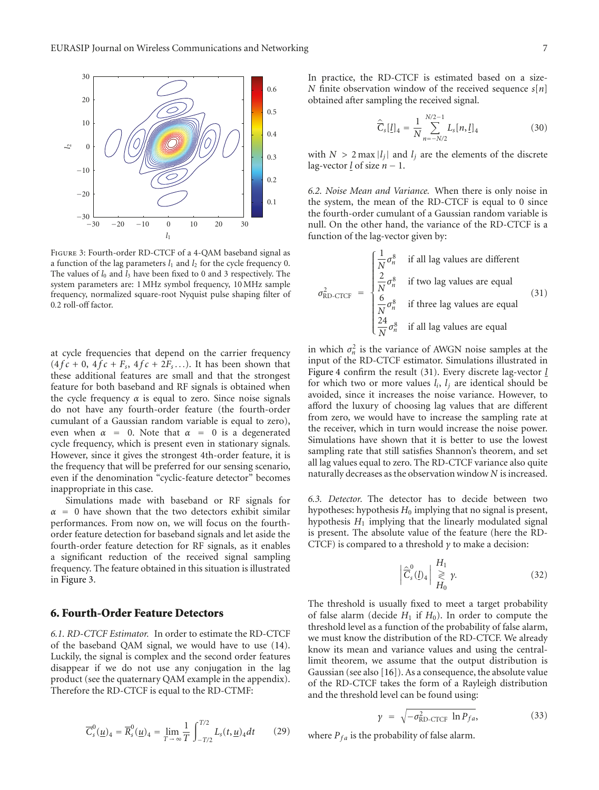

Figure 3: Fourth-order RD-CTCF of a 4-QAM baseband signal as a function of the lag parameters  $l_1$  and  $l_2$  for the cycle frequency 0. The values of  $l_0$  and  $l_3$  have been fixed to 0 and 3 respectively. The system parameters are: 1 MHz symbol frequency, 10 MHz sample frequency, normalized square-root Nyquist pulse shaping filter of 0*.*2 roll-off factor.

at cycle frequencies that depend on the carrier frequency  $(4fc + 0, 4fc + F_s, 4fc + 2F_s...)$ . It has been shown that these additional features are small and that the strongest feature for both baseband and RF signals is obtained when the cycle frequency  $\alpha$  is equal to zero. Since noise signals do not have any fourth-order feature (the fourth-order cumulant of a Gaussian random variable is equal to zero), even when  $\alpha = 0$ . Note that  $\alpha = 0$  is a degenerated cycle frequency, which is present even in stationary signals. However, since it gives the strongest 4th-order feature, it is the frequency that will be preferred for our sensing scenario, even if the denomination "cyclic-feature detector" becomes inappropriate in this case.

Simulations made with baseband or RF signals for  $\alpha = 0$  have shown that the two detectors exhibit similar performances. From now on, we will focus on the fourthorder feature detection for baseband signals and let aside the fourth-order feature detection for RF signals, as it enables a significant reduction of the received signal sampling frequency. The feature obtained in this situation is illustrated in Figure 3.

## **6. Fourth-Order Feature Detectors**

*6.1. RD-CTCF Estimator.* In order to estimate the RD-CTCF of the baseband QAM signal, we would have to use (14). Luckily, the signal is complex and the second order features disappear if we do not use any conjugation in the lag product (see the quaternary QAM example in the appendix). Therefore the RD-CTCF is equal to the RD-CTMF:

$$
\overline{C}_s^0(\underline{u})_4 = \overline{R}_s^0(\underline{u})_4 = \lim_{T \to \infty} \frac{1}{T} \int_{-T/2}^{T/2} L_s(t, \underline{u})_4 dt \qquad (29)
$$

In practice, the RD-CTCF is estimated based on a size-*N* finite observation window of the received sequence *s*[*n*] obtained after sampling the received signal.

$$
\widehat{\overline{C}}_s[\underline{l}]_4 = \frac{1}{N} \sum_{n=-N/2}^{N/2-1} L_s[n, \underline{l}]_4
$$
\n(30)

with  $N > 2$  max  $|l_i|$  and  $l_i$  are the elements of the discrete lag-vector *l* of size  $n - 1$ .

*6.2. Noise Mean and Variance.* When there is only noise in the system, the mean of the RD-CTCF is equal to 0 since the fourth-order cumulant of a Gaussian random variable is null. On the other hand, the variance of the RD-CTCF is a function of the lag-vector given by:

$$
\sigma_{\text{RD-CTCF}}^2 = \begin{cases}\n\frac{1}{N} \sigma_n^8 & \text{if all lag values are different} \\
\frac{2}{N} \sigma_n^8 & \text{if two lag values are equal} \\
\frac{6}{N} \sigma_n^8 & \text{if three lag values are equal} \\
\frac{24}{N} \sigma_n^8 & \text{if all lag values are equal}\n\end{cases}
$$
\n(31)

in which  $\sigma_n^2$  is the variance of AWGN noise samples at the input of the RD-CTCF estimator. Simulations illustrated in Figure 4 confirm the result (31). Every discrete lag-vector *l* for which two or more values  $l_i$ ,  $l_j$  are identical should be avoided, since it increases the noise variance. However, to afford the luxury of choosing lag values that are different from zero, we would have to increase the sampling rate at the receiver, which in turn would increase the noise power. Simulations have shown that it is better to use the lowest sampling rate that still satisfies Shannon's theorem, and set all lag values equal to zero. The RD-CTCF variance also quite naturally decreases as the observation window *N* is increased.

*6.3. Detector.* The detector has to decide between two hypotheses: hypothesis *H*<sup>0</sup> implying that no signal is present, hypothesis  $H_1$  implying that the linearly modulated signal is present. The absolute value of the feature (here the RD-CTCF) is compared to a threshold *γ* to make a decision:

$$
\left| \widehat{\overline{C}}_s^0(\underline{l})_4 \right| \underset{H_0}{\geq \ } y. \tag{32}
$$

The threshold is usually fixed to meet a target probability of false alarm (decide  $H_1$  if  $H_0$ ). In order to compute the threshold level as a function of the probability of false alarm, we must know the distribution of the RD-CTCF. We already know its mean and variance values and using the centrallimit theorem, we assume that the output distribution is Gaussian (see also [16]). As a consequence, the absolute value of the RD-CTCF takes the form of a Rayleigh distribution and the threshold level can be found using:

$$
\gamma = \sqrt{-\sigma_{\text{RD-CTCF}}^2 \ln P_{fa}},\tag{33}
$$

where  $P_{fa}$  is the probability of false alarm.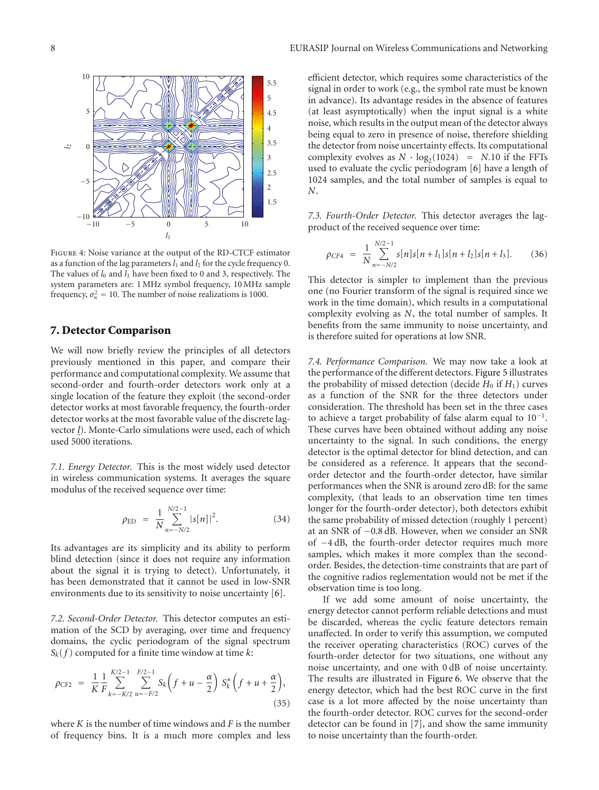

Figure 4: Noise variance at the output of the RD-CTCF estimator as a function of the lag parameters  $l_1$  and  $l_2$  for the cycle frequency 0. The values of  $l_0$  and  $l_3$  have been fixed to 0 and 3, respectively. The system parameters are: 1 MHz symbol frequency, 10 MHz sample frequency,  $\sigma_n^2 = 10$ . The number of noise realizations is 1000.

## **7. Detector Comparison**

We will now briefly review the principles of all detectors previously mentioned in this paper, and compare their performance and computational complexity. We assume that second-order and fourth-order detectors work only at a single location of the feature they exploit (the second-order detector works at most favorable frequency, the fourth-order detector works at the most favorable value of the discrete lagvector *l*). Monte-Carlo simulations were used, each of which used 5000 iterations.

*7.1. Energy Detector.* This is the most widely used detector in wireless communication systems. It averages the square modulus of the received sequence over time:

$$
\rho_{\rm ED} = \frac{1}{N} \sum_{n=-N/2}^{N/2-1} |s[n]|^2.
$$
 (34)

Its advantages are its simplicity and its ability to perform blind detection (since it does not require any information about the signal it is trying to detect). Unfortunately, it has been demonstrated that it cannot be used in low-SNR environments due to its sensitivity to noise uncertainty [6].

*7.2. Second-Order Detector.* This detector computes an estimation of the SCD by averaging, over time and frequency domains, the cyclic periodogram of the signal spectrum  $S_k(f)$  computed for a finite time window at time *k*:

$$
\rho_{\text{CF2}} = \frac{1}{K} \frac{1}{F} \sum_{k=-K/2}^{K/2-1} \sum_{u=-F/2}^{F/2-1} S_k \left( f + u - \frac{\alpha}{2} \right) S_k^* \left( f + u + \frac{\alpha}{2} \right),\tag{35}
$$

where *K* is the number of time windows and *F* is the number of frequency bins. It is a much more complex and less

efficient detector, which requires some characteristics of the signal in order to work (e.g., the symbol rate must be known in advance). Its advantage resides in the absence of features (at least asymptotically) when the input signal is a white noise, which results in the output mean of the detector always being equal to zero in presence of noise, therefore shielding the detector from noise uncertainty effects. Its computational complexity evolves as  $N \cdot \log_2(1024) = N.10$  if the FFTs used to evaluate the cyclic periodogram [6] have a length of 1024 samples, and the total number of samples is equal to *N*.

*7.3. Fourth-Order Detector.* This detector averages the lagproduct of the received sequence over time:

$$
\rho_{CF4} = \frac{1}{N} \sum_{n=-N/2}^{N/2-1} s[n]s[n+l_1]s[n+l_2]s[n+l_3]. \tag{36}
$$

This detector is simpler to implement than the previous one (no Fourier transform of the signal is required since we work in the time domain), which results in a computational complexity evolving as *N*, the total number of samples. It benefits from the same immunity to noise uncertainty, and is therefore suited for operations at low SNR.

*7.4. Performance Comparison.* We may now take a look at the performance of the different detectors. Figure 5 illustrates the probability of missed detection (decide  $H_0$  if  $H_1$ ) curves as a function of the SNR for the three detectors under consideration. The threshold has been set in the three cases to achieve a target probability of false alarm equal to  $10^{-1}$ . These curves have been obtained without adding any noise uncertainty to the signal. In such conditions, the energy detector is the optimal detector for blind detection, and can be considered as a reference. It appears that the secondorder detector and the fourth-order detector, have similar performances when the SNR is around zero dB: for the same complexity, (that leads to an observation time ten times longer for the fourth-order detector), both detectors exhibit the same probability of missed detection (roughly 1 percent) at an SNR of −0.8 dB. However, when we consider an SNR of −4 dB, the fourth-order detector requires much more samples, which makes it more complex than the secondorder. Besides, the detection-time constraints that are part of the cognitive radios reglementation would not be met if the observation time is too long.

If we add some amount of noise uncertainty, the energy detector cannot perform reliable detections and must be discarded, whereas the cyclic feature detectors remain unaffected. In order to verify this assumption, we computed the receiver operating characteristics (ROC) curves of the fourth-order detector for two situations, one without any noise uncertainty, and one with 0 dB of noise uncertainty. The results are illustrated in Figure 6. We observe that the energy detector, which had the best ROC curve in the first case is a lot more affected by the noise uncertainty than the fourth-order detector. ROC curves for the second-order detector can be found in [7], and show the same immunity to noise uncertainty than the fourth-order.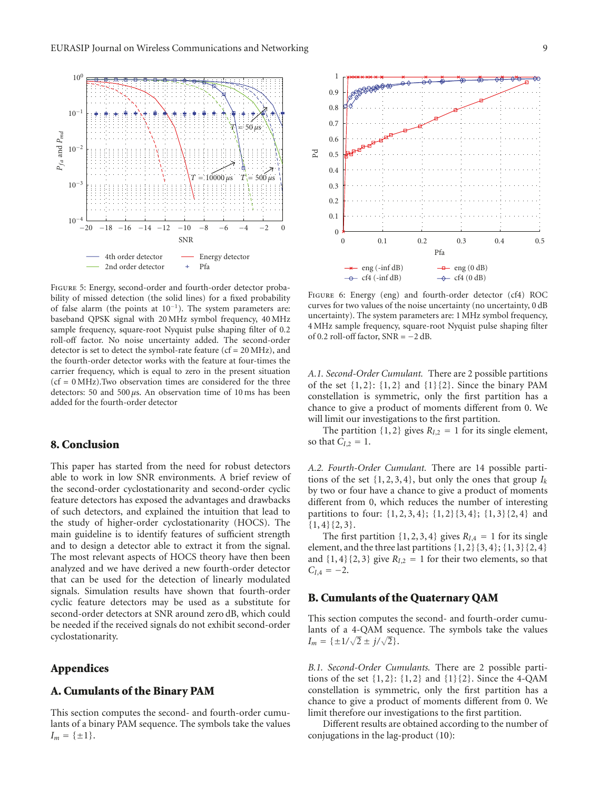$10000 \mu s$  *T*<sup>1</sup> = 500  $\mu s$ 

*T<sub>50</sub> μs* 



#### **8. Conclusion**

10−<sup>3</sup>

 $10<sup>-1</sup>$ 

 $10^{0}$ 

 $P_{fa}$  and  $P_{md}$ 10<sup>-1</sup>

This paper has started from the need for robust detectors able to work in low SNR environments. A brief review of the second-order cyclostationarity and second-order cyclic feature detectors has exposed the advantages and drawbacks of such detectors, and explained the intuition that lead to the study of higher-order cyclostationarity (HOCS). The main guideline is to identify features of sufficient strength and to design a detector able to extract it from the signal. The most relevant aspects of HOCS theory have then been analyzed and we have derived a new fourth-order detector that can be used for the detection of linearly modulated signals. Simulation results have shown that fourth-order cyclic feature detectors may be used as a substitute for second-order detectors at SNR around zero dB, which could be needed if the received signals do not exhibit second-order cyclostationarity.

## **Appendices**

#### **A. Cumulants of the Binary PAM**

This section computes the second- and fourth-order cumulants of a binary PAM sequence. The symbols take the values  $I_m = \{\pm 1\}.$ 



Figure 6: Energy (eng) and fourth-order detector (cf4) ROC curves for two values of the noise uncertainty (no uncertainty, 0 dB uncertainty). The system parameters are: 1 MHz symbol frequency, 4 MHz sample frequency, square-root Nyquist pulse shaping filter of 0.2 roll-off factor,  $SNR = -2$  dB.

*A.1. Second-Order Cumulant.* There are 2 possible partitions of the set  $\{1, 2\}$ :  $\{1, 2\}$  and  $\{1\}$  $\{2\}$ . Since the binary PAM constellation is symmetric, only the first partition has a chance to give a product of moments different from 0. We will limit our investigations to the first partition.

The partition  $\{1, 2\}$  gives  $R_{I,2} = 1$  for its single element, so that  $C_{I,2} = 1$ .

*A.2. Fourth-Order Cumulant.* There are 14 possible partitions of the set  $\{1, 2, 3, 4\}$ , but only the ones that group  $I_k$ by two or four have a chance to give a product of moments different from 0, which reduces the number of interesting partitions to four: {1, 2, 3, 4}; {1, 2}{3, 4}; {1, 3}{2, 4} and  ${1, 4}{2, 3}.$ 

The first partition  $\{1, 2, 3, 4\}$  gives  $R_{I,4} = 1$  for its single element, and the three last partitions  $\{1, 2\}$   $\{3, 4\}$ ;  $\{1, 3\}$   $\{2, 4\}$ and  $\{1, 4\}$   $\{2, 3\}$  give  $R_{I,2} = 1$  for their two elements, so that  $C_{I,4} = -2.$ 

## **B. Cumulants of the Quaternary QAM**

This section computes the second- and fourth-order cumulants of a 4-QAM sequence. The symbols take the values  $I_m = \{ \pm 1/\sqrt{2} \pm j/\sqrt{2} \}.$ 

*B.1. Second-Order Cumulants.* There are 2 possible partitions of the set  $\{1, 2\}$ :  $\{1, 2\}$  and  $\{1\}$  $\{2\}$ . Since the 4-QAM constellation is symmetric, only the first partition has a chance to give a product of moments different from 0. We limit therefore our investigations to the first partition.

Different results are obtained according to the number of conjugations in the lag-product (10):